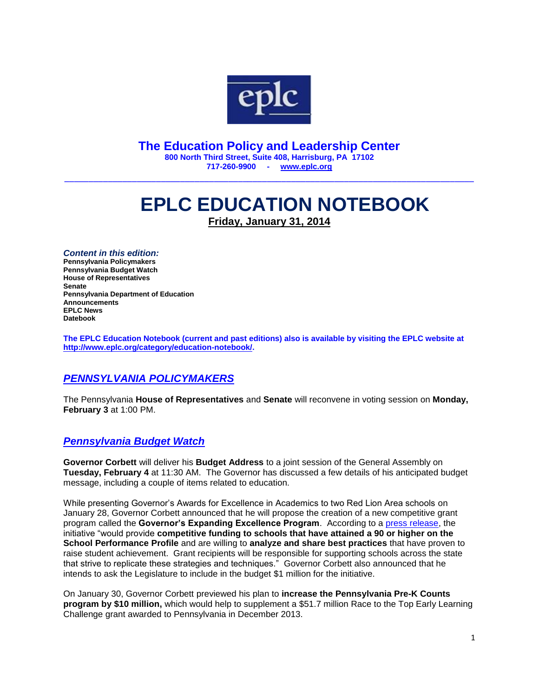

**The Education Policy and Leadership Center 800 North Third Street, Suite 408, Harrisburg, PA 17102 717-260-9900 - [www.eplc.org](http://www.eplc.org/)**

\_\_\_\_\_\_\_\_\_\_\_\_\_\_\_\_\_\_\_\_\_\_\_\_\_\_\_\_\_\_\_\_\_\_\_\_\_\_\_\_\_\_\_\_\_\_\_\_\_\_\_\_\_\_\_\_\_\_\_\_\_\_\_\_\_\_\_\_\_\_\_\_\_\_\_\_\_\_\_\_\_\_\_\_\_

# **EPLC EDUCATION NOTEBOOK Friday, January 31, 2014**

*Content in this edition:* **Pennsylvania Policymakers Pennsylvania Budget Watch House of Representatives Senate Pennsylvania Department of Education Announcements EPLC News Datebook**

**The EPLC Education Notebook (current and past editions) also is available by visiting the EPLC website at [http://www.eplc.org/category/education-notebook/.](http://www.eplc.org/category/education-notebook/)**

#### *PENNSYLVANIA POLICYMAKERS*

The Pennsylvania **House of Representatives** and **Senate** will reconvene in voting session on **Monday, February 3** at 1:00 PM.

#### *Pennsylvania Budget Watch*

**Governor Corbett** will deliver his **Budget Address** to a joint session of the General Assembly on **Tuesday, February 4** at 11:30 AM. The Governor has discussed a few details of his anticipated budget message, including a couple of items related to education.

While presenting Governor's Awards for Excellence in Academics to two Red Lion Area schools on January 28, Governor Corbett announced that he will propose the creation of a new competitive grant program called the **Governor's Expanding Excellence Program**. According to a [press release,](http://www.portal.state.pa.us/portal/server.pt?open=512&objID=7234&PageID=1005857&mode=2&contentid=http://pubcontent.state.pa.us/publishedcontent/publish/cop_hhs/pde/single_web/no_workflow_requried/news_and_media/articles/governor_corbett_presents_governor_s_awards_to_two_red_lion_area_schools__previews_education_initiative_in_upcoming_budget.html) the initiative "would provide **competitive funding to schools that have attained a 90 or higher on the School Performance Profile** and are willing to **analyze and share best practices** that have proven to raise student achievement. Grant recipients will be responsible for supporting schools across the state that strive to replicate these strategies and techniques." Governor Corbett also announced that he intends to ask the Legislature to include in the budget \$1 million for the initiative.

On January 30, Governor Corbett previewed his plan to **increase the Pennsylvania Pre-K Counts program by \$10 million,** which would help to supplement a \$51.7 million Race to the Top Early Learning Challenge grant awarded to Pennsylvania in December 2013.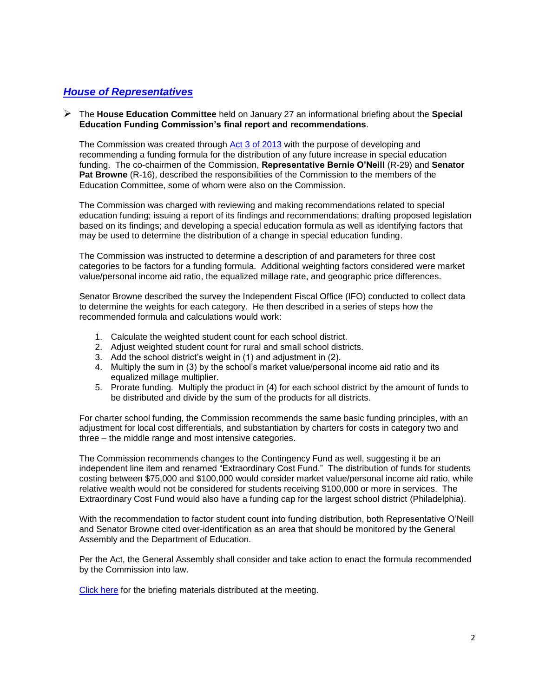#### *House of Representatives*

 The **House Education Committee** held on January 27 an informational briefing about the **Special Education Funding Commission's final report and recommendations**.

The Commission was created through [Act 3 of 2013](http://www.legis.state.pa.us/cfdocs/legis/li/uconsCheck.cfm?yr=2013&sessInd=0&act=3) with the purpose of developing and recommending a funding formula for the distribution of any future increase in special education funding. The co-chairmen of the Commission, **Representative Bernie O'Neill** (R-29) and **Senator Pat Browne** (R-16), described the responsibilities of the Commission to the members of the Education Committee, some of whom were also on the Commission.

The Commission was charged with reviewing and making recommendations related to special education funding; issuing a report of its findings and recommendations; drafting proposed legislation based on its findings; and developing a special education formula as well as identifying factors that may be used to determine the distribution of a change in special education funding.

The Commission was instructed to determine a description of and parameters for three cost categories to be factors for a funding formula. Additional weighting factors considered were market value/personal income aid ratio, the equalized millage rate, and geographic price differences.

Senator Browne described the survey the Independent Fiscal Office (IFO) conducted to collect data to determine the weights for each category. He then described in a series of steps how the recommended formula and calculations would work:

- 1. Calculate the weighted student count for each school district.
- 2. Adjust weighted student count for rural and small school districts.
- 3. Add the school district's weight in (1) and adjustment in (2).
- 4. Multiply the sum in (3) by the school's market value/personal income aid ratio and its equalized millage multiplier.
- 5. Prorate funding. Multiply the product in (4) for each school district by the amount of funds to be distributed and divide by the sum of the products for all districts.

For charter school funding, the Commission recommends the same basic funding principles, with an adjustment for local cost differentials, and substantiation by charters for costs in category two and three – the middle range and most intensive categories.

The Commission recommends changes to the Contingency Fund as well, suggesting it be an independent line item and renamed "Extraordinary Cost Fund." The distribution of funds for students costing between \$75,000 and \$100,000 would consider market value/personal income aid ratio, while relative wealth would not be considered for students receiving \$100,000 or more in services. The Extraordinary Cost Fund would also have a funding cap for the largest school district (Philadelphia).

With the recommendation to factor student count into funding distribution, both Representative O'Neill and Senator Browne cited over-identification as an area that should be monitored by the General Assembly and the Department of Education.

Per the Act, the General Assembly shall consider and take action to enact the formula recommended by the Commission into law.

[Click here](http://senatorbrowne.pasenategop.com/special-education-funding-commission/2014/Special%20Education%20Funding%20Commission%20Briefing%20-FINAL.pdf) for the briefing materials distributed at the meeting.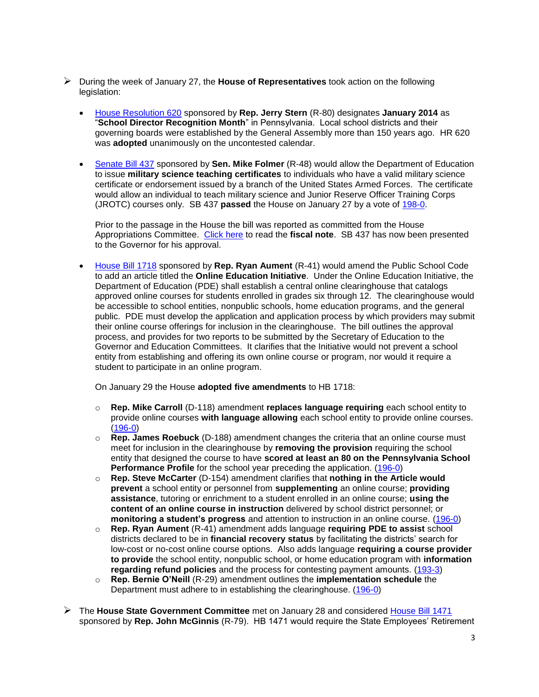- During the week of January 27, the **House of Representatives** took action on the following legislation:
	- [House Resolution 620](http://www.legis.state.pa.us/cfdocs/billInfo/billInfo.cfm?sYear=2013&sInd=0&body=H&type=R&bn=0620) sponsored by **Rep. Jerry Stern** (R-80) designates **January 2014** as "**School Director Recognition Month**" in Pennsylvania. Local school districts and their governing boards were established by the General Assembly more than 150 years ago. HR 620 was **adopted** unanimously on the uncontested calendar.
	- [Senate Bill 437](http://www.legis.state.pa.us/cfdocs/billInfo/billInfo.cfm?sYear=2013&sInd=0&body=S&type=B&bn=0437) sponsored by **Sen. Mike Folmer** (R-48) would allow the Department of Education to issue **military science teaching certificates** to individuals who have a valid military science certificate or endorsement issued by a branch of the United States Armed Forces. The certificate would allow an individual to teach military science and Junior Reserve Officer Training Corps (JROTC) courses only. SB 437 **passed** the House on January 27 by a vote of [198-0.](http://www.legis.state.pa.us/CFDOCS/Legis/RC/Public/rc_view_action2.cfm?sess_yr=2013&sess_ind=0&rc_body=H&rc_nbr=1060)

Prior to the passage in the House the bill was reported as committed from the House Appropriations Committee. [Click here](http://www.legis.state.pa.us/WU01/LI/BI/FN/2013/0/SB0437P1241.pdf) to read the **fiscal note**. SB 437 has now been presented to the Governor for his approval.

 [House Bill 1718](http://www.legis.state.pa.us/cfdocs/billInfo/billInfo.cfm?sYear=2013&sInd=0&body=H&type=B&bn=1718) sponsored by **Rep. Ryan Aument** (R-41) would amend the Public School Code to add an article titled the **Online Education Initiative**. Under the Online Education Initiative, the Department of Education (PDE) shall establish a central online clearinghouse that catalogs approved online courses for students enrolled in grades six through 12. The clearinghouse would be accessible to school entities, nonpublic schools, home education programs, and the general public. PDE must develop the application and application process by which providers may submit their online course offerings for inclusion in the clearinghouse. The bill outlines the approval process, and provides for two reports to be submitted by the Secretary of Education to the Governor and Education Committees. It clarifies that the Initiative would not prevent a school entity from establishing and offering its own online course or program, nor would it require a student to participate in an online program.

On January 29 the House **adopted five amendments** to HB 1718:

- o **Rep. Mike Carroll** (D-118) amendment **replaces language requiring** each school entity to provide online courses **with language allowing** each school entity to provide online courses. [\(196-0\)](http://www.legis.state.pa.us/CFDOCS/Legis/RC/Public/rc_view_action2.cfm?sess_yr=2013&sess_ind=0&rc_body=H&rc_nbr=1075)
- o **Rep. James Roebuck** (D-188) amendment changes the criteria that an online course must meet for inclusion in the clearinghouse by **removing the provision** requiring the school entity that designed the course to have **scored at least an 80 on the Pennsylvania School Performance Profile** for the school year preceding the application. [\(196-0\)](http://www.legis.state.pa.us/CFDOCS/Legis/RC/Public/rc_view_action2.cfm?sess_yr=2013&sess_ind=0&rc_body=H&rc_nbr=1079)
- o **Rep. Steve McCarter** (D-154) amendment clarifies that **nothing in the Article would prevent** a school entity or personnel from **supplementing** an online course; **providing assistance**, tutoring or enrichment to a student enrolled in an online course; **using the content of an online course in instruction** delivered by school district personnel; or **monitoring a student's progress** and attention to instruction in an online course. [\(196-0\)](http://www.legis.state.pa.us/CFDOCS/Legis/RC/Public/rc_view_action2.cfm?sess_yr=2013&sess_ind=0&rc_body=H&rc_nbr=1078)
- o **Rep. Ryan Aument** (R-41) amendment adds language **requiring PDE to assist** school districts declared to be in **financial recovery status** by facilitating the districts' search for low-cost or no-cost online course options. Also adds language **requiring a course provider to provide** the school entity, nonpublic school, or home education program with **information regarding refund policies** and the process for contesting payment amounts. [\(193-3\)](http://www.legis.state.pa.us/CFDOCS/Legis/RC/Public/rc_view_action2.cfm?sess_yr=2013&sess_ind=0&rc_body=H&rc_nbr=1077)
- o **Rep. Bernie O'Neill** (R-29) amendment outlines the **implementation schedule** the Department must adhere to in establishing the clearinghouse. [\(196-0\)](http://www.legis.state.pa.us/CFDOCS/Legis/RC/Public/rc_view_action2.cfm?sess_yr=2013&sess_ind=0&rc_body=H&rc_nbr=1076)
- The **House State Government Committee** met on January 28 and considered [House Bill 1471](http://www.legis.state.pa.us/cfdocs/billInfo/billInfo.cfm?sYear=2013&sInd=0&body=H&type=B&bn=1471) sponsored by **Rep. John McGinnis** (R-79). HB 1471 would require the State Employees' Retirement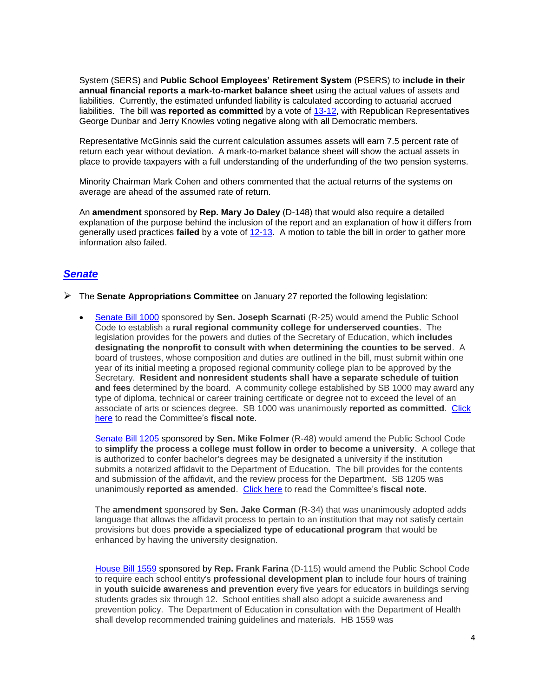System (SERS) and **Public School Employees' Retirement System** (PSERS) to **include in their annual financial reports a mark-to-market balance sheet** using the actual values of assets and liabilities. Currently, the estimated unfunded liability is calculated according to actuarial accrued liabilities. The bill was **reported as committed** by a vote of [13-12,](http://www.legis.state.pa.us/cfdocs/legis/RCC/PUBLIC/listVoteSummaryH.cfm?sYear=2013&sInd=0&cteeCde=36&theDate=01/28/2014&rNbr=1453) with Republican Representatives George Dunbar and Jerry Knowles voting negative along with all Democratic members.

Representative McGinnis said the current calculation assumes assets will earn 7.5 percent rate of return each year without deviation. A mark-to-market balance sheet will show the actual assets in place to provide taxpayers with a full understanding of the underfunding of the two pension systems.

Minority Chairman Mark Cohen and others commented that the actual returns of the systems on average are ahead of the assumed rate of return.

An **amendment** sponsored by **Rep. Mary Jo Daley** (D-148) that would also require a detailed explanation of the purpose behind the inclusion of the report and an explanation of how it differs from generally used practices **failed** by a vote of [12-13.](http://www.legis.state.pa.us/cfdocs/legis/RCC/PUBLIC/listVoteSummaryH.cfm?sYear=2013&sInd=0&cteeCde=36&theDate=01/28/2014&rNbr=1446) A motion to table the bill in order to gather more information also failed.

#### *Senate*

- The **Senate Appropriations Committee** on January 27 reported the following legislation:
	- [Senate Bill 1000](http://www.legis.state.pa.us/cfdocs/billInfo/billInfo.cfm?sYear=2013&sInd=0&body=S&type=B&bn=1000) sponsored by **Sen. Joseph Scarnati** (R-25) would amend the Public School Code to establish a **rural regional community college for underserved counties**. The legislation provides for the powers and duties of the Secretary of Education, which **includes designating the nonprofit to consult with when determining the counties to be served**. A board of trustees, whose composition and duties are outlined in the bill, must submit within one year of its initial meeting a proposed regional community college plan to be approved by the Secretary. **Resident and nonresident students shall have a separate schedule of tuition and fees** determined by the board. A community college established by SB 1000 may award any type of diploma, technical or career training certificate or degree not to exceed the level of an associate of arts or sciences degree. SB 1000 was unanimously **reported as committed**. [Click](http://www.legis.state.pa.us/WU01/LI/BI/SFN/2013/0/SB1000P1655.pdf)  [here](http://www.legis.state.pa.us/WU01/LI/BI/SFN/2013/0/SB1000P1655.pdf) to read the Committee's **fiscal note**.

[Senate Bill 1205](http://www.legis.state.pa.us/cfdocs/billInfo/billInfo.cfm?sYear=2013&sInd=0&body=S&type=B&bn=1205) sponsored by **Sen. Mike Folmer** (R-48) would amend the Public School Code to **simplify the process a college must follow in order to become a university**. A college that is authorized to confer bachelor's degrees may be designated a university if the institution submits a notarized affidavit to the Department of Education. The bill provides for the contents and submission of the affidavit, and the review process for the Department. SB 1205 was unanimously **reported as amended**. [Click here](http://www.legis.state.pa.us/WU01/LI/BI/SFN/2013/0/SB1205P1727.pdf) to read the Committee's **fiscal note**.

The **amendment** sponsored by **Sen. Jake Corman** (R-34) that was unanimously adopted adds language that allows the affidavit process to pertain to an institution that may not satisfy certain provisions but does **provide a specialized type of educational program** that would be enhanced by having the university designation.

House [Bill 1559](http://www.legis.state.pa.us/cfdocs/billInfo/billInfo.cfm?sYear=2013&sInd=0&body=H&type=B&bn=1559) sponsored by **Rep. Frank Farina** (D-115) would amend the Public School Code to require each school entity's **professional development plan** to include four hours of training in **youth suicide awareness and prevention** every five years for educators in buildings serving students grades six through 12. School entities shall also adopt a suicide awareness and prevention policy. The Department of Education in consultation with the Department of Health shall develop recommended training guidelines and materials. HB 1559 was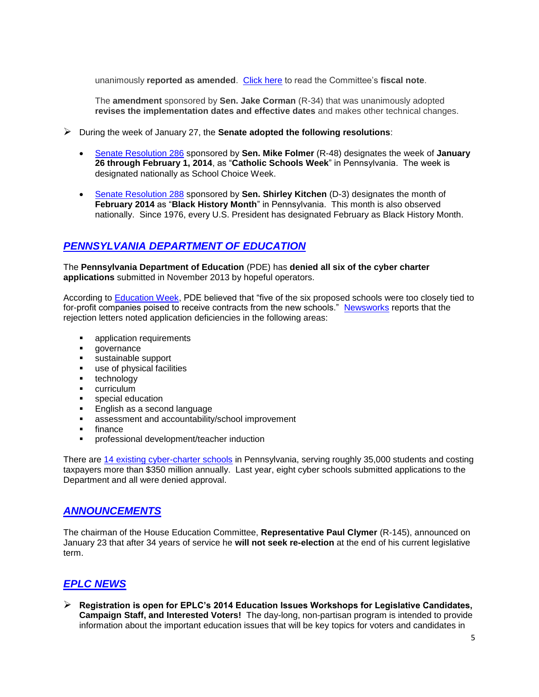unanimously **reported as amended**. [Click here](http://www.legis.state.pa.us/WU01/LI/BI/SFN/2013/0/HB1559P2927.pdf) to read the Committee's **fiscal note**.

The **amendment** sponsored by **Sen. Jake Corman** (R-34) that was unanimously adopted **revises the implementation dates and effective dates** and makes other technical changes.

- During the week of January 27, the **Senate adopted the following resolutions**:
	- [Senate Resolution 286](http://www.legis.state.pa.us/cfdocs/billInfo/billInfo.cfm?sYear=2013&sInd=0&body=S&type=R&bn=0286) sponsored by **Sen. Mike Folmer** (R-48) designates the week of **January 26 through February 1, 2014**, as "**Catholic Schools Week**" in Pennsylvania. The week is designated nationally as School Choice Week.
	- [Senate Resolution 288](http://www.legis.state.pa.us/cfdocs/billInfo/billInfo.cfm?sYear=2013&sInd=0&body=S&type=R&bn=0288) sponsored by **Sen. Shirley Kitchen** (D-3) designates the month of **February 2014** as "**Black History Month**" in Pennsylvania. This month is also observed nationally. Since 1976, every U.S. President has designated February as Black History Month.

# *PENNSYLVANIA DEPARTMENT OF EDUCATION*

The **Pennsylvania Department of Education** (PDE) has **denied all six of the cyber charter applications** submitted in November 2013 by hopeful operators.

According to [Education Week,](http://blogs.edweek.org/edweek/DigitalEducation/2014/01/pa_rejects_cyber_charter_applicants.html) PDE believed that "five of the six proposed schools were too closely tied to for-profit companies poised to receive contracts from the new schools." [Newsworks](http://www.newsworks.org/index.php/local/item/64340-pennsylvania-denies-all-applications-for-cyber-charter-schools-in-2014?utm_source=dlvr.it&utm_medium=twitter) reports that the rejection letters noted application deficiencies in the following areas:

- **application requirements**
- **qovernance**
- **sustainable support**
- use of physical facilities
- **technology**
- **•** curriculum
- **special education**
- **English as a second language**
- assessment and accountability/school improvement
- $\blacksquare$  finance
- professional development/teacher induction

There are [14 existing cyber-charter schools](https://www.google.com/url?q=http://www.education.state.pa.us/portal/server.pt/gateway/PTARGS_0_2_1368180_0_0_18/2013-14%2520Cyber%2520Charter%2520Schools.pdf&sa=U&ei=8XvqUueYKejm2gWaqoHABg&ved=0CAsQFjAB&client=internal-uds-cse&usg=AFQjCNFhixyKgqoC_CMMhJRU60FcbUCakg) in Pennsylvania, serving roughly 35,000 students and costing taxpayers more than \$350 million annually. Last year, eight cyber schools submitted applications to the Department and all were denied approval.

#### *ANNOUNCEMENTS*

The chairman of the House Education Committee, **Representative Paul Clymer** (R-145), announced on January 23 that after 34 years of service he **will not seek re-election** at the end of his current legislative term.

## *EPLC NEWS*

 **Registration is open for EPLC's 2014 Education Issues Workshops for Legislative Candidates, Campaign Staff, and Interested Voters!** The day-long, non-partisan program is intended to provide information about the important education issues that will be key topics for voters and candidates in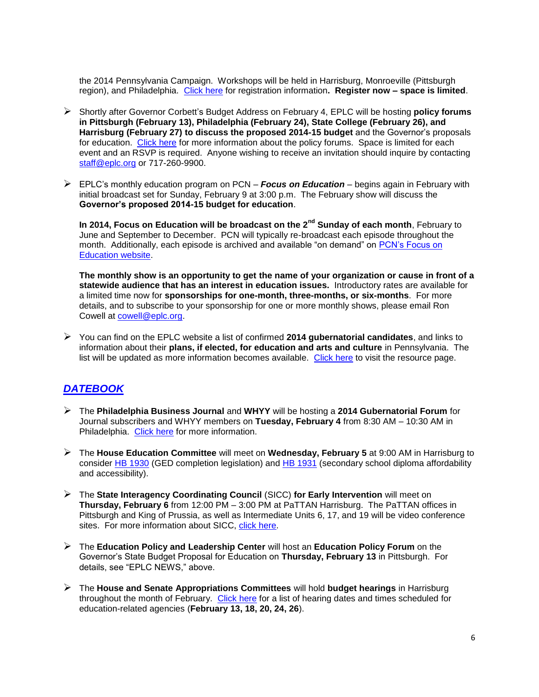the 2014 Pennsylvania Campaign. Workshops will be held in Harrisburg, Monroeville (Pittsburgh region), and Philadelphia. [Click here](http://www.eplc.org/2014/01/register-now-eplcs-education-issues-workshop-for-legislative-candidates-campaign-staff-and-interested-voters/) for registration information**. Register now – space is limited**.

- Shortly after Governor Corbett's Budget Address on February 4, EPLC will be hosting **policy forums in Pittsburgh (February 13), Philadelphia (February 24), State College (February 26), and Harrisburg (February 27) to discuss the proposed 2014-15 budget** and the Governor's proposals for education. [Click here](http://www.eplc.org/policy-programs-and-projects/forums-and-special-events/pennsylvania-education-policy-forum/) for more information about the policy forums. Space is limited for each event and an RSVP is required. Anyone wishing to receive an invitation should inquire by contacting [staff@eplc.org](mailto:staff@eplc.org) or 717-260-9900.
- EPLC's monthly education program on PCN *Focus on Education* begins again in February with initial broadcast set for Sunday, February 9 at 3:00 p.m. The February show will discuss the **Governor's proposed 2014-15 budget for education**.

**In 2014, Focus on Education will be broadcast on the 2nd Sunday of each month**, February to June and September to December. PCN will typically re-broadcast each episode throughout the month. Additionally, each episode is archived and available "on demand" on [PCN's Focus on](http://pcntv.com/new-series-focus-on-education/)  [Education website.](http://pcntv.com/new-series-focus-on-education/)

**The monthly show is an opportunity to get the name of your organization or cause in front of a statewide audience that has an interest in education issues.** Introductory rates are available for a limited time now for **sponsorships for one-month, three-months, or six-months**. For more details, and to subscribe to your sponsorship for one or more monthly shows, please email Ron Cowell at [cowell@eplc.org.](mailto:cowell@eplc.org)

 You can find on the EPLC website a list of confirmed **2014 gubernatorial candidates**, and links to information about their **plans, if elected, for education and arts and culture** in Pennsylvania. The list will be updated as more information becomes available. [Click here](http://www.eplc.org/2014-gubernatorial-candidate-plans-for-education-and-artsculture-in-pa/) to visit the resource page.

## *DATEBOOK*

- The **Philadelphia Business Journal** and **WHYY** will be hosting a **2014 Gubernatorial Forum** for Journal subscribers and WHYY members on **Tuesday, February 4** from 8:30 AM – 10:30 AM in Philadelphia. [Click here](http://www.bizjournals.com/philadelphia/event/105501) for more information.
- The **House Education Committee** will meet on **Wednesday, February 5** at 9:00 AM in Harrisburg to consider [HB 1930](http://www.legis.state.pa.us/cfdocs/billInfo/billInfo.cfm?sYear=2013&sInd=0&body=H&type=B&bn=1930) (GED completion legislation) and [HB 1931](http://www.legis.state.pa.us/cfdocs/billInfo/billInfo.cfm?sYear=2013&sInd=0&body=H&type=B&bn=1931) (secondary school diploma affordability and accessibility).
- The **State Interagency Coordinating Council** (SICC) **for Early Intervention** will meet on **Thursday, February 6** from 12:00 PM – 3:00 PM at PaTTAN Harrisburg. The PaTTAN offices in Pittsburgh and King of Prussia, as well as Intermediate Units 6, 17, and 19 will be video conference sites. For more information about SICC, [click here.](http://www.pattan.net/category/About/Partners/Single/?id=13)
- The **Education Policy and Leadership Center** will host an **Education Policy Forum** on the Governor's State Budget Proposal for Education on **Thursday, February 13** in Pittsburgh. For details, see "EPLC NEWS," above.
- The **House and Senate Appropriations Committees** will hold **budget hearings** in Harrisburg throughout the month of February. [Click here](http://www.eplc.org/wp-content/uploads/2011/06/Education-Budget-Hearings-2014-15.pdf) for a list of hearing dates and times scheduled for education-related agencies (**February 13, 18, 20, 24, 26**).